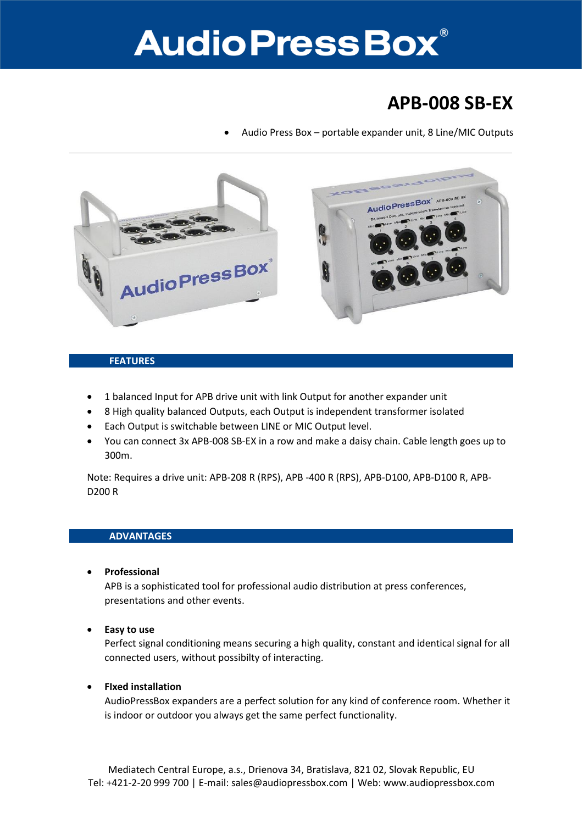# **Audio Press Box**®

### **APB-008 SB-EX**

Audio Press Box – portable expander unit, 8 Line/MIC Outputs



#### **FEATURES**

- 1 balanced Input for APB drive unit with link Output for another expander unit
- 8 High quality balanced Outputs, each Output is independent transformer isolated
- Each Output is switchable between LINE or MIC Output level.
- You can connect 3x APB-008 SB-EX in a row and make a daisy chain. Cable length goes up to 300m.

Note: Requires a drive unit: APB-208 R (RPS), APB -400 R (RPS), APB-D100, APB-D100 R, APB-D200 R

#### **ADVANTAGES**

**Professional**

APB is a sophisticated tool for professional audio distribution at press conferences, presentations and other events.

**Easy to use**

Perfect signal conditioning means securing a high quality, constant and identical signal for all connected users, without possibilty of interacting.

#### **FIxed installation**

AudioPressBox expanders are a perfect solution for any kind of conference room. Whether it is indoor or outdoor you always get the same perfect functionality.